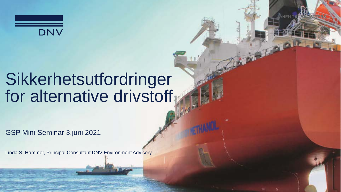

# Sikkerhetsutfordringer for alternative drivstoff

GSP Mini-Seminar 3.juni 2021

Linda S. Hammer, Principal Consultant DNV Environment Advisory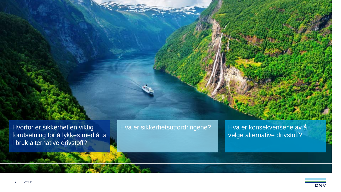

Hvorfor er sikkerhet en viktig forutsetning for å lykkes med å ta i bruk alternative drivstoff?

Hva er sikkerhetsutfordringene? Hva er konsekvensene av å

velge alternative drivstoff?

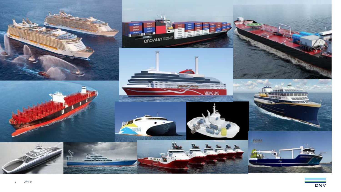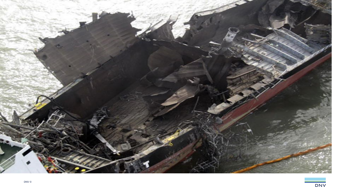

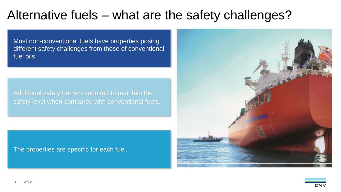## Alternative fuels – what are the safety challenges?

Most non-conventional fuels have properties posing different safety challenges from those of conventional fuel oils.

Additional safety barriers required to maintain the safety level when compared with conventional fuels.

The properties are specific for each fuel.



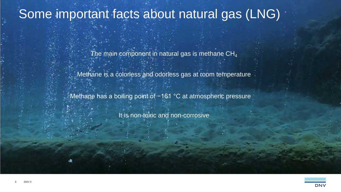#### Some important facts about natural gas (LNG) Some important facts about natural gas (LNG)

The main component in natural gas is methane  $CH<sub>4</sub>$ 

Methane is a colorless and odorless gas at room temperature

Methane has a boiling point of −161 °C at atmospheric pressure

It is non-toxic and non-corrosive

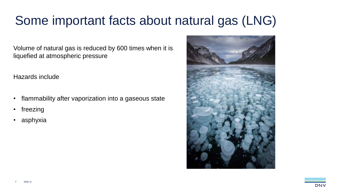## Some important facts about natural gas (LNG)

Volume of natural gas is reduced by 600 times when it is liquefied at atmospheric pressure

Hazards include

- flammability after vaporization into a gaseous state
- freezing
- asphyxia



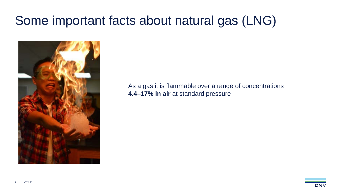## Some important facts about natural gas (LNG)



As a gas it is flammable over a range of concentrations **4.4–17% in air** at standard pressure

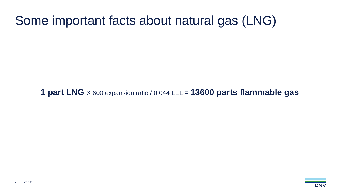## Some important facts about natural gas (LNG)

#### **1 part LNG** X 600 expansion ratio / 0.044 LEL = **13600 parts flammable gas**

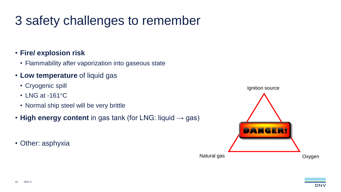## 3 safety challenges to remember

#### • **Fire/ explosion risk**

- Flammability after vaporization into gaseous state
- **Low temperature** of liquid gas
	- Cryogenic spill
	- $\cdot$  LNG at -161 $\degree$ C
	- Normal ship steel will be very brittle
- **High energy content** in gas tank (for LNG: liquid  $\rightarrow$  gas)
- Other: asphyxia

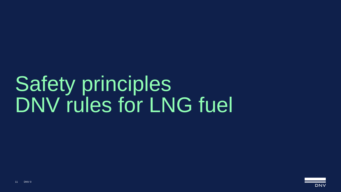# **Safety principles** DNV rules for LNG fuel

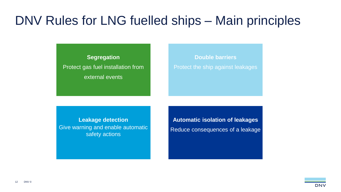## DNV Rules for LNG fuelled ships – Main principles

**Segregation** Protect gas fuel installation from external events

**Double barriers** Protect the ship against leakages

**Leakage detection** Give warning and enable automatic safety actions

**Automatic isolation of leakages** Reduce consequences of a leakage

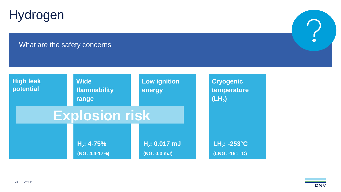

#### What are the safety concerns





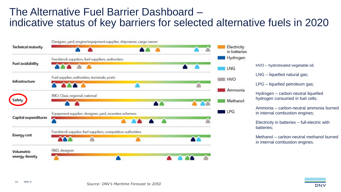#### The Alternative Fuel Barrier Dashboard – indicative status of key barriers for selected alternative fuels in 2020



• HVO – hydrotreated vegetable oil;

 $LNG$  – liquefied natural gas;

• LPG – liquefied petroleum gas;

• Hydrogen – carbon-neutral liquefied hydrogen consumed in fuel cells;

• Ammonia – carbon-neutral ammonia burned in internal combustion engines;

• Electricity in batteries – full-electric with batteries;

• Methanol – carbon-neutral methanol burned in internal combustion engines.

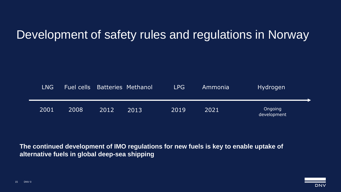#### Development of safety rules and regulations in Norway

| LNG  | Fuel cells Batteries Methanol |      |      | LPG/ | Ammonia | Hydrogen               |
|------|-------------------------------|------|------|------|---------|------------------------|
| 2001 | 20081                         | 2012 | 2013 | 2019 | 2021    | Ongoing<br>development |

**The continued development of IMO regulations for new fuels is key to enable uptake of alternative fuels in global deep-sea shipping**

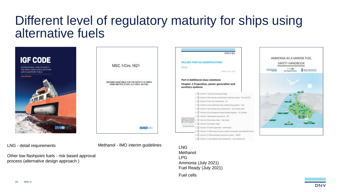### Different level of regulatory maturity for ships using alternative fuels



LNG - detail requirements

Other low flashpoint fuels - risk based approval

process (alternative design approach )

Methanol - IMO interim guidelines

Methanol LPG Ammonia (July 2021) Fuel Ready (July 2021)

Fuel cells

**DNV**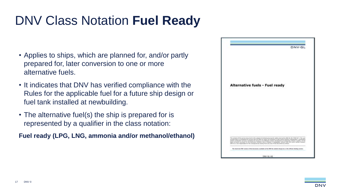# DNV Class Notation **Fuel Ready**

- Applies to ships, which are planned for, and/or partly prepared for, later conversion to one or more alternative fuels.
- It indicates that DNV has verified compliance with the Rules for the applicable fuel for a future ship design or fuel tank installed at newbuilding.
- The alternative fuel(s) the ship is prepared for is represented by a qualifier in the class notation:

**Fuel ready (LPG, LNG, ammonia and/or methanol/ethanol)**

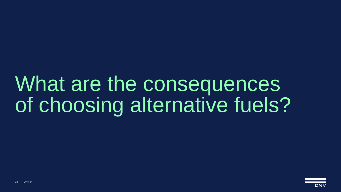# What are the consequences of choosing alternative fuels?

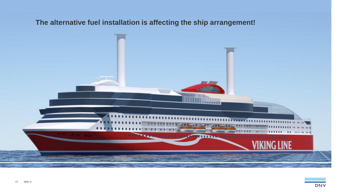#### **The alternative fuel installation is affecting the ship arrangement!**



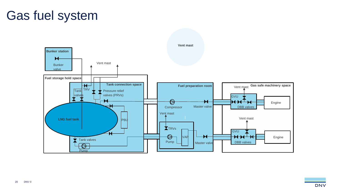## Gas fuel system

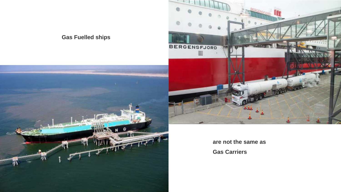#### **Gas Fuelled ships**





**are not the same as Gas Carriers**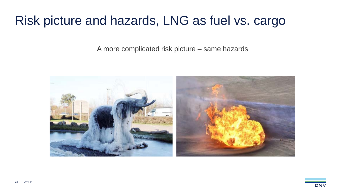## Risk picture and hazards, LNG as fuel vs. cargo

A more complicated risk picture – same hazards

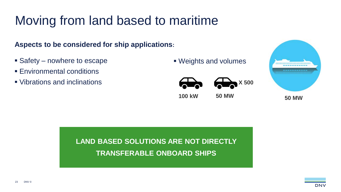## Moving from land based to maritime

#### **Aspects to be considered for ship applications:**

- Safety nowhere to escape
- **Environmental conditions**
- Vibrations and inclinations

■ Weights and volumes



**X 500**

**100 kW**



**LAND BASED SOLUTIONS ARE NOT DIRECTLY TRANSFERABLE ONBOARD SHIPS**

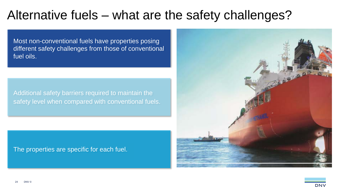## Alternative fuels – what are the safety challenges?

Most non-conventional fuels have properties posing different safety challenges from those of conventional fuel oils.

Additional safety barriers required to maintain the safety level when compared with conventional fuels.

The properties are specific for each fuel.